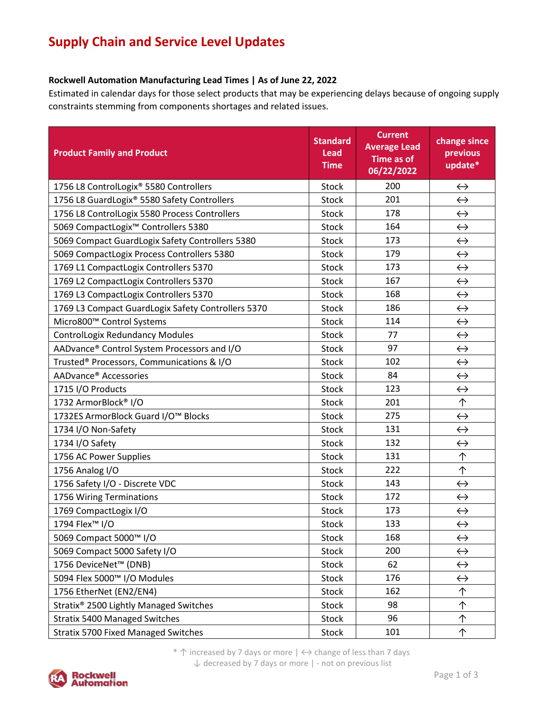## **Supply Chain and Service Level Updates**

## **Rockwell Automation Manufacturing Lead Times | As of June 22, 2022**

Estimated in calendar days for those select products that may be experiencing delays because of ongoing supply constraints stemming from components shortages and related issues.

| <b>Product Family and Product</b>                  | <b>Standard</b><br>Lead<br><b>Time</b> | <b>Current</b><br><b>Average Lead</b><br>Time as of<br>06/22/2022 | change since<br>previous<br>update* |
|----------------------------------------------------|----------------------------------------|-------------------------------------------------------------------|-------------------------------------|
| 1756 L8 ControlLogix® 5580 Controllers             | <b>Stock</b>                           | 200                                                               | $\leftrightarrow$                   |
| 1756 L8 GuardLogix® 5580 Safety Controllers        | <b>Stock</b>                           | 201                                                               | $\leftrightarrow$                   |
| 1756 L8 ControlLogix 5580 Process Controllers      | <b>Stock</b>                           | 178                                                               | $\leftrightarrow$                   |
| 5069 CompactLogix <sup>™</sup> Controllers 5380    | <b>Stock</b>                           | 164                                                               | $\leftrightarrow$                   |
| 5069 Compact GuardLogix Safety Controllers 5380    | <b>Stock</b>                           | 173                                                               | $\leftrightarrow$                   |
| 5069 CompactLogix Process Controllers 5380         | <b>Stock</b>                           | 179                                                               | $\leftrightarrow$                   |
| 1769 L1 CompactLogix Controllers 5370              | <b>Stock</b>                           | 173                                                               | $\leftrightarrow$                   |
| 1769 L2 CompactLogix Controllers 5370              | Stock                                  | 167                                                               | $\leftrightarrow$                   |
| 1769 L3 CompactLogix Controllers 5370              | <b>Stock</b>                           | 168                                                               | $\leftrightarrow$                   |
| 1769 L3 Compact GuardLogix Safety Controllers 5370 | <b>Stock</b>                           | 186                                                               | $\leftrightarrow$                   |
| Micro800™ Control Systems                          | <b>Stock</b>                           | 114                                                               | $\leftrightarrow$                   |
| <b>ControlLogix Redundancy Modules</b>             | Stock                                  | 77                                                                | $\leftrightarrow$                   |
| AADvance® Control System Processors and I/O        | <b>Stock</b>                           | 97                                                                | $\leftrightarrow$                   |
| Trusted® Processors, Communications & I/O          | <b>Stock</b>                           | 102                                                               | $\leftrightarrow$                   |
| AADvance® Accessories                              | <b>Stock</b>                           | 84                                                                | $\leftrightarrow$                   |
| 1715 I/O Products                                  | <b>Stock</b>                           | 123                                                               | $\leftrightarrow$                   |
| 1732 ArmorBlock® I/O                               | <b>Stock</b>                           | 201                                                               | 个                                   |
| 1732ES ArmorBlock Guard I/O™ Blocks                | <b>Stock</b>                           | 275                                                               | $\leftrightarrow$                   |
| 1734 I/O Non-Safety                                | <b>Stock</b>                           | 131                                                               | $\leftrightarrow$                   |
| 1734 I/O Safety                                    | <b>Stock</b>                           | 132                                                               | $\leftrightarrow$                   |
| 1756 AC Power Supplies                             | <b>Stock</b>                           | 131                                                               | 个                                   |
| 1756 Analog I/O                                    | <b>Stock</b>                           | 222                                                               | ↑                                   |
| 1756 Safety I/O - Discrete VDC                     | <b>Stock</b>                           | 143                                                               | $\leftrightarrow$                   |
| 1756 Wiring Terminations                           | Stock                                  | 172                                                               | $\leftrightarrow$                   |
| 1769 CompactLogix I/O                              | <b>Stock</b>                           | 173                                                               | $\leftrightarrow$                   |
| 1794 Flex <sup>™</sup> I/O                         | Stock                                  | 133                                                               | $\leftrightarrow$                   |
| 5069 Compact 5000™ I/O                             | Stock                                  | 168                                                               | $\leftrightarrow$                   |
| 5069 Compact 5000 Safety I/O                       | Stock                                  | 200                                                               | $\leftrightarrow$                   |
| 1756 DeviceNet™ (DNB)                              | Stock                                  | 62                                                                | $\leftrightarrow$                   |
| 5094 Flex 5000™ I/O Modules                        | Stock                                  | 176                                                               | $\leftrightarrow$                   |
| 1756 EtherNet (EN2/EN4)                            | <b>Stock</b>                           | 162                                                               | 个                                   |
| Stratix <sup>®</sup> 2500 Lightly Managed Switches | Stock                                  | 98                                                                | 个                                   |
| <b>Stratix 5400 Managed Switches</b>               | Stock                                  | 96                                                                | 个                                   |
| <b>Stratix 5700 Fixed Managed Switches</b>         | Stock                                  | 101                                                               | ↑                                   |

\* ↑ increased by 7 days or more | ↔ change of less than 7 days ↓ decreased by 7 days or more | - not on previous list

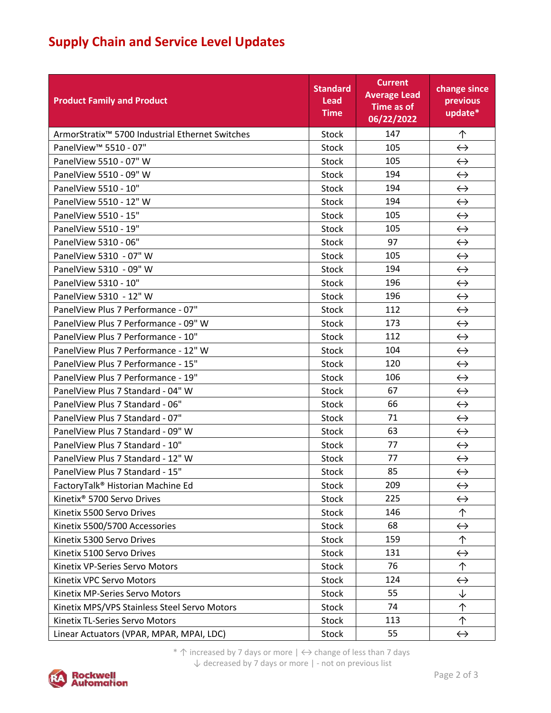## **Supply Chain and Service Level Updates**

| <b>Product Family and Product</b>                           | <b>Standard</b><br>Lead<br><b>Time</b> | <b>Current</b><br><b>Average Lead</b><br>Time as of<br>06/22/2022 | change since<br>previous<br>update* |
|-------------------------------------------------------------|----------------------------------------|-------------------------------------------------------------------|-------------------------------------|
| ArmorStratix <sup>™</sup> 5700 Industrial Ethernet Switches | <b>Stock</b>                           | 147                                                               | 个                                   |
| PanelView <sup>™</sup> 5510 - 07"                           | <b>Stock</b>                           | 105                                                               | $\leftrightarrow$                   |
| PanelView 5510 - 07" W                                      | <b>Stock</b>                           | 105                                                               | $\leftrightarrow$                   |
| PanelView 5510 - 09" W                                      | <b>Stock</b>                           | 194                                                               | $\leftrightarrow$                   |
| PanelView 5510 - 10"                                        | Stock                                  | 194                                                               | $\leftrightarrow$                   |
| PanelView 5510 - 12" W                                      | Stock                                  | 194                                                               | $\leftrightarrow$                   |
| PanelView 5510 - 15"                                        | <b>Stock</b>                           | 105                                                               | $\leftrightarrow$                   |
| PanelView 5510 - 19"                                        | <b>Stock</b>                           | 105                                                               | $\leftrightarrow$                   |
| PanelView 5310 - 06"                                        | <b>Stock</b>                           | 97                                                                | $\leftrightarrow$                   |
| PanelView 5310 - 07" W                                      | <b>Stock</b>                           | 105                                                               | $\leftrightarrow$                   |
| PanelView 5310 - 09" W                                      | <b>Stock</b>                           | 194                                                               | $\leftrightarrow$                   |
| PanelView 5310 - 10"                                        | <b>Stock</b>                           | 196                                                               | $\leftrightarrow$                   |
| PanelView 5310 - 12" W                                      | <b>Stock</b>                           | 196                                                               | $\leftrightarrow$                   |
| PanelView Plus 7 Performance - 07"                          | <b>Stock</b>                           | 112                                                               | $\leftrightarrow$                   |
| PanelView Plus 7 Performance - 09" W                        | <b>Stock</b>                           | 173                                                               | $\leftrightarrow$                   |
| PanelView Plus 7 Performance - 10"                          | <b>Stock</b>                           | 112                                                               | $\leftrightarrow$                   |
| PanelView Plus 7 Performance - 12" W                        | Stock                                  | 104                                                               | $\leftrightarrow$                   |
| PanelView Plus 7 Performance - 15"                          | <b>Stock</b>                           | 120                                                               | $\leftrightarrow$                   |
| PanelView Plus 7 Performance - 19"                          | Stock                                  | 106                                                               | $\leftrightarrow$                   |
| PanelView Plus 7 Standard - 04" W                           | <b>Stock</b>                           | 67                                                                | $\leftrightarrow$                   |
| PanelView Plus 7 Standard - 06"                             | <b>Stock</b>                           | 66                                                                | $\leftrightarrow$                   |
| PanelView Plus 7 Standard - 07"                             | <b>Stock</b>                           | 71                                                                | $\leftrightarrow$                   |
| PanelView Plus 7 Standard - 09" W                           | <b>Stock</b>                           | 63                                                                | $\leftrightarrow$                   |
| PanelView Plus 7 Standard - 10"                             | <b>Stock</b>                           | 77                                                                | $\leftrightarrow$                   |
| PanelView Plus 7 Standard - 12" W                           | <b>Stock</b>                           | 77                                                                | $\leftrightarrow$                   |
| PanelView Plus 7 Standard - 15"                             | <b>Stock</b>                           | 85                                                                | $\leftrightarrow$                   |
| FactoryTalk <sup>®</sup> Historian Machine Ed               | <b>Stock</b>                           | 209                                                               | $\leftrightarrow$                   |
| Kinetix <sup>®</sup> 5700 Servo Drives                      | Stock                                  | 225                                                               | $\leftrightarrow$                   |
| Kinetix 5500 Servo Drives                                   | Stock                                  | 146                                                               | 个                                   |
| Kinetix 5500/5700 Accessories                               | Stock                                  | 68                                                                | $\leftrightarrow$                   |
| Kinetix 5300 Servo Drives                                   | Stock                                  | 159                                                               | 个                                   |
| Kinetix 5100 Servo Drives                                   | Stock                                  | 131                                                               | $\leftrightarrow$                   |
| Kinetix VP-Series Servo Motors                              | Stock                                  | 76                                                                | 个                                   |
| Kinetix VPC Servo Motors                                    | Stock                                  | 124                                                               | $\leftrightarrow$                   |
| Kinetix MP-Series Servo Motors                              | Stock                                  | 55                                                                | ↓                                   |
| Kinetix MPS/VPS Stainless Steel Servo Motors                | Stock                                  | 74                                                                | 个                                   |
| Kinetix TL-Series Servo Motors                              | Stock                                  | 113                                                               | 个                                   |
| Linear Actuators (VPAR, MPAR, MPAI, LDC)                    | Stock                                  | 55                                                                | $\leftrightarrow$                   |

\*  $\uparrow$  increased by 7 days or more  $| \leftrightarrow$  change of less than 7 days ↓ decreased by 7 days or more | - not on previous list